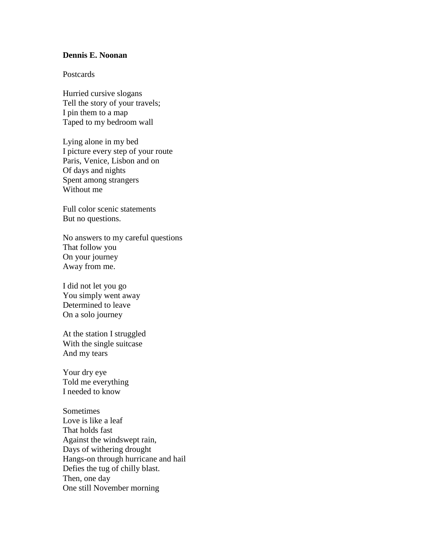## **Dennis E. Noonan**

## Postcards

Hurried cursive slogans Tell the story of your travels; I pin them to a map Taped to my bedroom wall

Lying alone in my bed I picture every step of your route Paris, Venice, Lisbon and on Of days and nights Spent among strangers Without me

Full color scenic statements But no questions.

No answers to my careful questions That follow you On your journey Away from me.

I did not let you go You simply went away Determined to leave On a solo journey

At the station I struggled With the single suitcase And my tears

Your dry eye Told me everything I needed to know

Sometimes Love is like a leaf That holds fast Against the windswept rain, Days of withering drought Hangs-on through hurricane and hail Defies the tug of chilly blast. Then, one day One still November morning